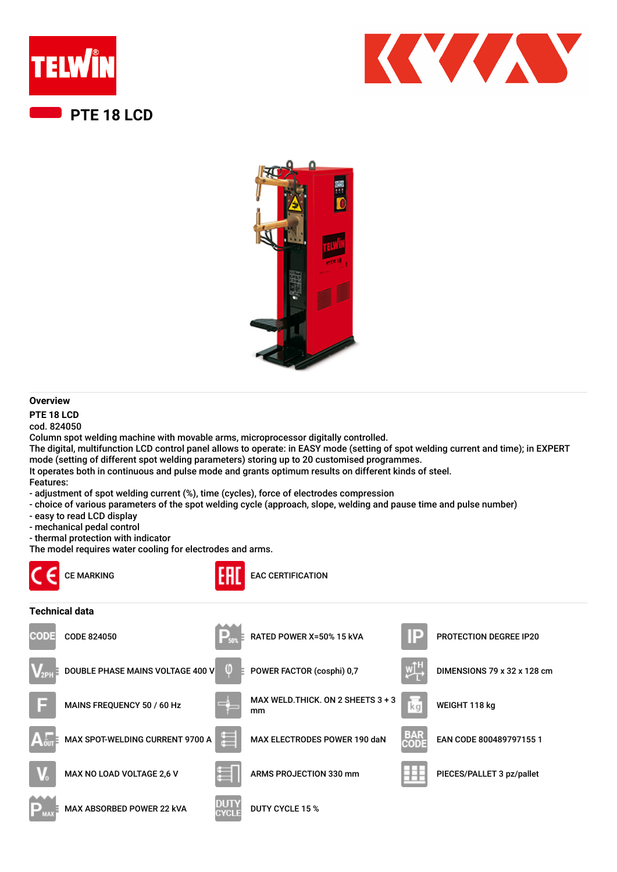





## **Overview**

**PTE 18 LCD**

cod. 824050

Column spot welding machine with movable arms, microprocessor digitally controlled.

The digital, multifunction LCD control panel allows to operate: in EASY mode (setting of spot welding current and time); in EXPERT mode (setting of different spot welding parameters) storing up to 20 customised programmes.

It operates both in continuous and pulse mode and grants optimum results on different kinds of steel.

Features:

- adjustment of spot welding current (%), time (cycles), force of electrodes compression
- choice of various parameters of the spot welding cycle (approach, slope, welding and pause time and pulse number)
- easy to read LCD display
- mechanical pedal control
- thermal protection with indicator

The model requires water cooling for electrodes and arms.